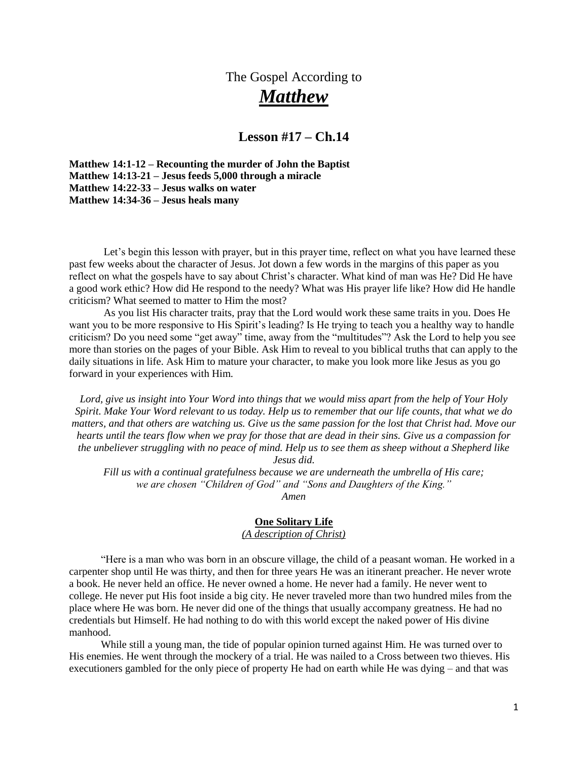# The Gospel According to *Matthew*

**Lesson #17 – Ch.14**

**Matthew 14:1-12 – Recounting the murder of John the Baptist Matthew 14:13-21 – Jesus feeds 5,000 through a miracle Matthew 14:22-33 – Jesus walks on water Matthew 14:34-36 – Jesus heals many**

Let's begin this lesson with prayer, but in this prayer time, reflect on what you have learned these past few weeks about the character of Jesus. Jot down a few words in the margins of this paper as you reflect on what the gospels have to say about Christ's character. What kind of man was He? Did He have a good work ethic? How did He respond to the needy? What was His prayer life like? How did He handle criticism? What seemed to matter to Him the most?

As you list His character traits, pray that the Lord would work these same traits in you. Does He want you to be more responsive to His Spirit's leading? Is He trying to teach you a healthy way to handle criticism? Do you need some "get away" time, away from the "multitudes"? Ask the Lord to help you see more than stories on the pages of your Bible. Ask Him to reveal to you biblical truths that can apply to the daily situations in life. Ask Him to mature your character, to make you look more like Jesus as you go forward in your experiences with Him.

*Lord, give us insight into Your Word into things that we would miss apart from the help of Your Holy Spirit. Make Your Word relevant to us today. Help us to remember that our life counts, that what we do matters, and that others are watching us. Give us the same passion for the lost that Christ had. Move our hearts until the tears flow when we pray for those that are dead in their sins. Give us a compassion for the unbeliever struggling with no peace of mind. Help us to see them as sheep without a Shepherd like Jesus did.* 

*Fill us with a continual gratefulness because we are underneath the umbrella of His care; we are chosen "Children of God" and "Sons and Daughters of the King." Amen*

## **One Solitary Life** *(A description of Christ)*

 "Here is a man who was born in an obscure village, the child of a peasant woman. He worked in a carpenter shop until He was thirty, and then for three years He was an itinerant preacher. He never wrote a book. He never held an office. He never owned a home. He never had a family. He never went to college. He never put His foot inside a big city. He never traveled more than two hundred miles from the place where He was born. He never did one of the things that usually accompany greatness. He had no credentials but Himself. He had nothing to do with this world except the naked power of His divine manhood.

 While still a young man, the tide of popular opinion turned against Him. He was turned over to His enemies. He went through the mockery of a trial. He was nailed to a Cross between two thieves. His executioners gambled for the only piece of property He had on earth while He was dying – and that was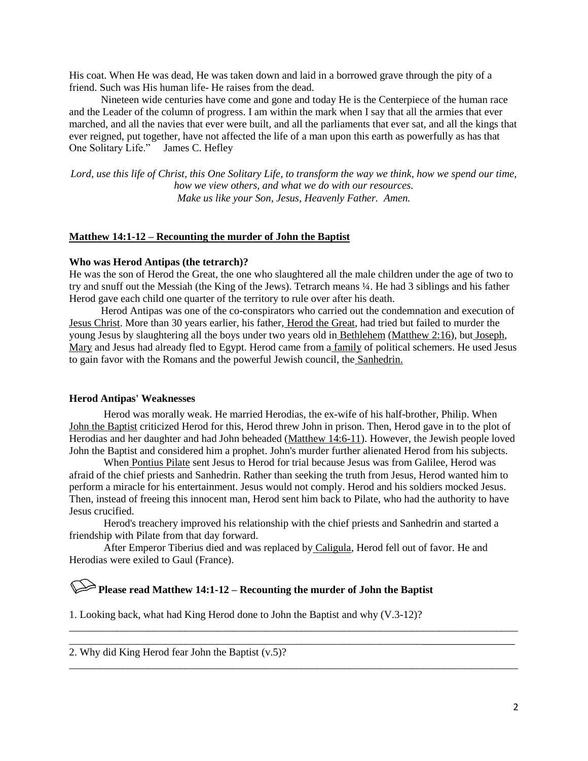His coat. When He was dead, He was taken down and laid in a borrowed grave through the pity of a friend. Such was His human life- He raises from the dead.

 Nineteen wide centuries have come and gone and today He is the Centerpiece of the human race and the Leader of the column of progress. I am within the mark when I say that all the armies that ever marched, and all the navies that ever were built, and all the parliaments that ever sat, and all the kings that ever reigned, put together, have not affected the life of a man upon this earth as powerfully as has that One Solitary Life." James C. Hefley

Lord, use this life of Christ, this One Solitary Life, to transform the way we think, how we spend our time, *how we view others, and what we do with our resources. Make us like your Son, Jesus, Heavenly Father. Amen.*

#### **Matthew 14:1-12 – Recounting the murder of John the Baptist**

#### **Who was Herod Antipas (the tetrarch)?**

He was the son of Herod the Great, the one who slaughtered all the male children under the age of two to try and snuff out the Messiah (the King of the Jews). Tetrarch means ¼. He had 3 siblings and his father Herod gave each child one quarter of the territory to rule over after his death.

 Herod Antipas was one of the co-conspirators who carried out the condemnation and execution o[f](https://www.thoughtco.com/profile-of-jesus-christ-701089) [Jesus Christ.](https://www.thoughtco.com/profile-of-jesus-christ-701089) More than 30 years earlier, his father, [Herod the Great,](https://www.thoughtco.com/herod-the-great-enemy-of-jesus-christ-701064) had tried but failed to murder the young Jesus by slaughtering all the boys under two years old in [Bethlehem](https://www.thoughtco.com/city-of-bethlehem-overview-700678) [\(Matthew 2:16\)](https://www.biblegateway.com/passage/?search=Matthew%202:16&version=NIV), but [Joseph](https://www.thoughtco.com/joseph-earthly-father-of-jesus-701091)[,](https://www.thoughtco.com/mary-the-mother-of-jesus-701092) [Mary](https://www.thoughtco.com/mary-the-mother-of-jesus-701092) and Jesus had already fled to Egypt. Herod came from a [family](https://www.thoughtco.com/bible-verses-about-family-699959) of political schemers. He used Jesus to gain favor with the Romans and the powerful Jewish council, the [Sanhedrin.](https://www.thoughtco.com/what-was-the-sanhedrin-700696) 

#### **Herod Antipas' Weaknesses**

Herod was morally weak. He married Herodias, the ex-wife of his half-brother, Philip. Whe[n](https://www.thoughtco.com/profile-of-john-the-baptist-701090) [John the Baptist](https://www.thoughtco.com/profile-of-john-the-baptist-701090) criticized Herod for this, Herod threw John in prison. Then, Herod gave in to the plot of Herodias and her daughter and had John beheaded [\(Matthew 14:6-11\)](https://www.biblegateway.com/passage/?search=Matthew%2014:6-11&version=NIV). However, the Jewish people loved John the Baptist and considered him a prophet. John's murder further alienated Herod from his subjects.

When [Pontius Pilate](https://www.thoughtco.com/pontius-pilate-roman-governor-of-judea-701081) sent Jesus to Herod for trial because Jesus was from Galilee, Herod was afraid of the chief priests and Sanhedrin. Rather than seeking the truth from Jesus, Herod wanted him to perform a miracle for his entertainment. Jesus would not comply. Herod and his soldiers mocked Jesus. Then, instead of freeing this innocent man, Herod sent him back to Pilate, who had the authority to have Jesus crucified.

Herod's treachery improved his relationship with the chief priests and Sanhedrin and started a friendship with Pilate from that day forward.

\_\_\_\_\_\_\_\_\_\_\_\_\_\_\_\_\_\_\_\_\_\_\_\_\_\_\_\_\_\_\_\_\_\_\_\_\_\_\_\_\_\_\_\_\_\_\_\_\_\_\_\_\_\_\_\_\_\_\_\_\_\_\_\_\_\_\_\_\_\_\_\_\_\_\_\_\_\_\_\_\_\_\_\_\_ \_\_\_\_\_\_\_\_\_\_\_\_\_\_\_\_\_\_\_\_\_\_\_\_\_\_\_\_\_\_\_\_\_\_\_\_\_\_\_\_\_\_\_\_\_\_\_\_\_\_\_\_\_\_\_\_\_\_\_\_\_\_\_\_\_\_\_\_\_\_\_\_\_\_\_\_\_\_\_\_\_\_\_

\_\_\_\_\_\_\_\_\_\_\_\_\_\_\_\_\_\_\_\_\_\_\_\_\_\_\_\_\_\_\_\_\_\_\_\_\_\_\_\_\_\_\_\_\_\_\_\_\_\_\_\_\_\_\_\_\_\_\_\_\_\_\_\_\_\_\_\_\_\_\_\_\_\_\_\_\_\_\_\_\_\_\_\_\_

After Emperor Tiberius died and was replaced by [Caligula,](https://www.thoughtco.com/coins-of-the-12-caesars-4126834) Herod fell out of favor. He and Herodias were exiled to Gaul (France).

## Please read Matthew 14:1-12 – Recounting the murder of John the Baptist

1. Looking back, what had King Herod done to John the Baptist and why (V.3-12)?

2. Why did King Herod fear John the Baptist (v.5)?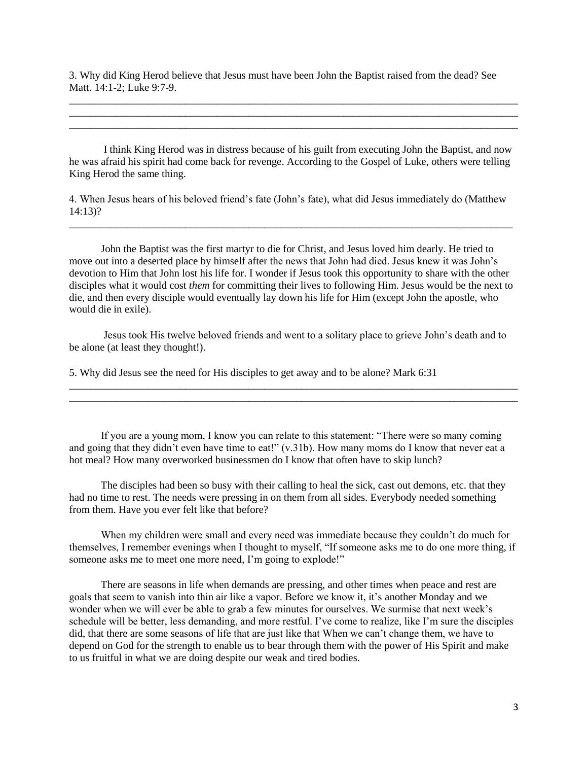3. Why did King Herod believe that Jesus must have been John the Baptist raised from the dead? See Matt. 14:1-2; Luke 9:7-9.

\_\_\_\_\_\_\_\_\_\_\_\_\_\_\_\_\_\_\_\_\_\_\_\_\_\_\_\_\_\_\_\_\_\_\_\_\_\_\_\_\_\_\_\_\_\_\_\_\_\_\_\_\_\_\_\_\_\_\_\_\_\_\_\_\_\_\_\_\_\_\_\_\_\_\_\_\_\_\_\_\_\_\_\_\_ \_\_\_\_\_\_\_\_\_\_\_\_\_\_\_\_\_\_\_\_\_\_\_\_\_\_\_\_\_\_\_\_\_\_\_\_\_\_\_\_\_\_\_\_\_\_\_\_\_\_\_\_\_\_\_\_\_\_\_\_\_\_\_\_\_\_\_\_\_\_\_\_\_\_\_\_\_\_\_\_\_\_\_\_\_ \_\_\_\_\_\_\_\_\_\_\_\_\_\_\_\_\_\_\_\_\_\_\_\_\_\_\_\_\_\_\_\_\_\_\_\_\_\_\_\_\_\_\_\_\_\_\_\_\_\_\_\_\_\_\_\_\_\_\_\_\_\_\_\_\_\_\_\_\_\_\_\_\_\_\_\_\_\_\_\_\_\_\_\_\_

I think King Herod was in distress because of his guilt from executing John the Baptist, and now he was afraid his spirit had come back for revenge. According to the Gospel of Luke, others were telling King Herod the same thing.

4. When Jesus hears of his beloved friend's fate (John's fate), what did Jesus immediately do (Matthew 14:13)?

\_\_\_\_\_\_\_\_\_\_\_\_\_\_\_\_\_\_\_\_\_\_\_\_\_\_\_\_\_\_\_\_\_\_\_\_\_\_\_\_\_\_\_\_\_\_\_\_\_\_\_\_\_\_\_\_\_\_\_\_\_\_\_\_\_\_\_\_\_\_\_\_\_\_\_\_\_\_\_\_\_\_\_\_

 John the Baptist was the first martyr to die for Christ, and Jesus loved him dearly. He tried to move out into a deserted place by himself after the news that John had died. Jesus knew it was John's devotion to Him that John lost his life for. I wonder if Jesus took this opportunity to share with the other disciples what it would cost *them* for committing their lives to following Him. Jesus would be the next to die, and then every disciple would eventually lay down his life for Him (except John the apostle, who would die in exile).

Jesus took His twelve beloved friends and went to a solitary place to grieve John's death and to be alone (at least they thought!).

\_\_\_\_\_\_\_\_\_\_\_\_\_\_\_\_\_\_\_\_\_\_\_\_\_\_\_\_\_\_\_\_\_\_\_\_\_\_\_\_\_\_\_\_\_\_\_\_\_\_\_\_\_\_\_\_\_\_\_\_\_\_\_\_\_\_\_\_\_\_\_\_\_\_\_\_\_\_\_\_\_\_\_\_\_ \_\_\_\_\_\_\_\_\_\_\_\_\_\_\_\_\_\_\_\_\_\_\_\_\_\_\_\_\_\_\_\_\_\_\_\_\_\_\_\_\_\_\_\_\_\_\_\_\_\_\_\_\_\_\_\_\_\_\_\_\_\_\_\_\_\_\_\_\_\_\_\_\_\_\_\_\_\_\_\_\_\_\_\_\_

5. Why did Jesus see the need for His disciples to get away and to be alone? Mark 6:31

 If you are a young mom, I know you can relate to this statement: "There were so many coming and going that they didn't even have time to eat!" (v.31b). How many moms do I know that never eat a hot meal? How many overworked businessmen do I know that often have to skip lunch?

 The disciples had been so busy with their calling to heal the sick, cast out demons, etc. that they had no time to rest. The needs were pressing in on them from all sides. Everybody needed something from them. Have you ever felt like that before?

 When my children were small and every need was immediate because they couldn't do much for themselves, I remember evenings when I thought to myself, "If someone asks me to do one more thing, if someone asks me to meet one more need, I'm going to explode!"

 There are seasons in life when demands are pressing, and other times when peace and rest are goals that seem to vanish into thin air like a vapor. Before we know it, it's another Monday and we wonder when we will ever be able to grab a few minutes for ourselves. We surmise that next week's schedule will be better, less demanding, and more restful. I've come to realize, like I'm sure the disciples did, that there are some seasons of life that are just like that When we can't change them, we have to depend on God for the strength to enable us to bear through them with the power of His Spirit and make to us fruitful in what we are doing despite our weak and tired bodies.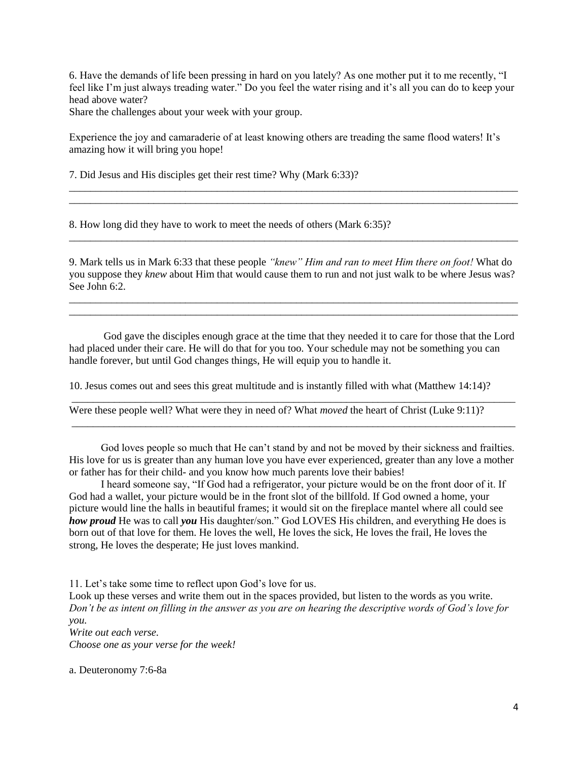6. Have the demands of life been pressing in hard on you lately? As one mother put it to me recently, "I feel like I'm just always treading water." Do you feel the water rising and it's all you can do to keep your head above water?

Share the challenges about your week with your group.

Experience the joy and camaraderie of at least knowing others are treading the same flood waters! It's amazing how it will bring you hope!

\_\_\_\_\_\_\_\_\_\_\_\_\_\_\_\_\_\_\_\_\_\_\_\_\_\_\_\_\_\_\_\_\_\_\_\_\_\_\_\_\_\_\_\_\_\_\_\_\_\_\_\_\_\_\_\_\_\_\_\_\_\_\_\_\_\_\_\_\_\_\_\_\_\_\_\_\_\_\_\_\_\_\_\_\_ \_\_\_\_\_\_\_\_\_\_\_\_\_\_\_\_\_\_\_\_\_\_\_\_\_\_\_\_\_\_\_\_\_\_\_\_\_\_\_\_\_\_\_\_\_\_\_\_\_\_\_\_\_\_\_\_\_\_\_\_\_\_\_\_\_\_\_\_\_\_\_\_\_\_\_\_\_\_\_\_\_\_\_\_\_

7. Did Jesus and His disciples get their rest time? Why (Mark 6:33)?

8. How long did they have to work to meet the needs of others (Mark 6:35)?

9. Mark tells us in Mark 6:33 that these people *"knew" Him and ran to meet Him there on foot!* What do you suppose they *knew* about Him that would cause them to run and not just walk to be where Jesus was? See John 6:2.

\_\_\_\_\_\_\_\_\_\_\_\_\_\_\_\_\_\_\_\_\_\_\_\_\_\_\_\_\_\_\_\_\_\_\_\_\_\_\_\_\_\_\_\_\_\_\_\_\_\_\_\_\_\_\_\_\_\_\_\_\_\_\_\_\_\_\_\_\_\_\_\_\_\_\_\_\_\_\_\_\_\_\_\_\_ \_\_\_\_\_\_\_\_\_\_\_\_\_\_\_\_\_\_\_\_\_\_\_\_\_\_\_\_\_\_\_\_\_\_\_\_\_\_\_\_\_\_\_\_\_\_\_\_\_\_\_\_\_\_\_\_\_\_\_\_\_\_\_\_\_\_\_\_\_\_\_\_\_\_\_\_\_\_\_\_\_\_\_\_\_

\_\_\_\_\_\_\_\_\_\_\_\_\_\_\_\_\_\_\_\_\_\_\_\_\_\_\_\_\_\_\_\_\_\_\_\_\_\_\_\_\_\_\_\_\_\_\_\_\_\_\_\_\_\_\_\_\_\_\_\_\_\_\_\_\_\_\_\_\_\_\_\_\_\_\_\_\_\_\_\_\_\_\_\_\_

God gave the disciples enough grace at the time that they needed it to care for those that the Lord had placed under their care. He will do that for you too. Your schedule may not be something you can handle forever, but until God changes things, He will equip you to handle it.

\_\_\_\_\_\_\_\_\_\_\_\_\_\_\_\_\_\_\_\_\_\_\_\_\_\_\_\_\_\_\_\_\_\_\_\_\_\_\_\_\_\_\_\_\_\_\_\_\_\_\_\_\_\_\_\_\_\_\_\_\_\_\_\_\_\_\_\_\_\_\_\_\_\_\_\_\_\_\_\_\_\_\_\_

\_\_\_\_\_\_\_\_\_\_\_\_\_\_\_\_\_\_\_\_\_\_\_\_\_\_\_\_\_\_\_\_\_\_\_\_\_\_\_\_\_\_\_\_\_\_\_\_\_\_\_\_\_\_\_\_\_\_\_\_\_\_\_\_\_\_\_\_\_\_\_\_\_\_\_\_\_\_\_\_\_\_\_\_

10. Jesus comes out and sees this great multitude and is instantly filled with what (Matthew 14:14)?

Were these people well? What were they in need of? What *moved* the heart of Christ (Luke 9:11)?

God loves people so much that He can't stand by and not be moved by their sickness and frailties. His love for us is greater than any human love you have ever experienced, greater than any love a mother or father has for their child- and you know how much parents love their babies!

 I heard someone say, "If God had a refrigerator, your picture would be on the front door of it. If God had a wallet, your picture would be in the front slot of the billfold. If God owned a home, your picture would line the halls in beautiful frames; it would sit on the fireplace mantel where all could see *how proud* He was to call *you* His daughter/son." God LOVES His children, and everything He does is born out of that love for them. He loves the well, He loves the sick, He loves the frail, He loves the strong, He loves the desperate; He just loves mankind.

11. Let's take some time to reflect upon God's love for us.

Look up these verses and write them out in the spaces provided, but listen to the words as you write. *Don't be as intent on filling in the answer as you are on hearing the descriptive words of God's love for you.*

*Write out each verse. Choose one as your verse for the week!*

a. Deuteronomy 7:6-8a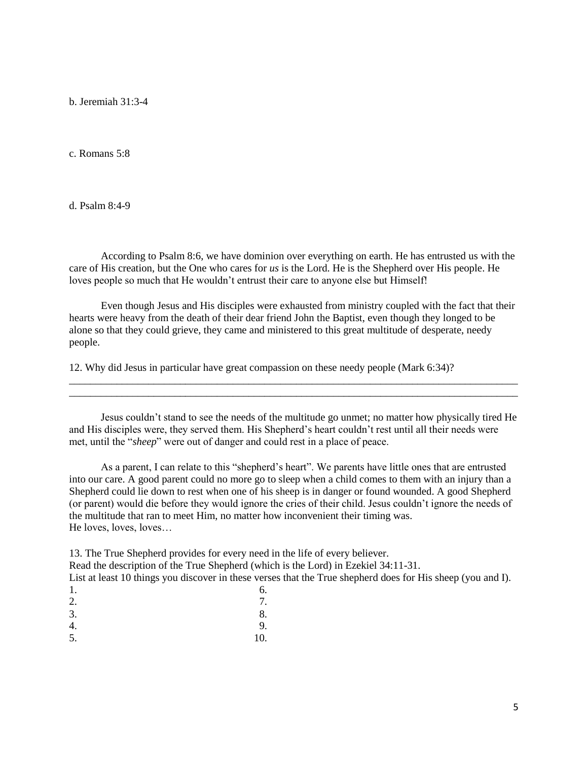b. Jeremiah 31:3-4

c. Romans 5:8

d. Psalm 8:4-9

 According to Psalm 8:6, we have dominion over everything on earth. He has entrusted us with the care of His creation, but the One who cares for *us* is the Lord. He is the Shepherd over His people. He loves people so much that He wouldn't entrust their care to anyone else but Himself!

 Even though Jesus and His disciples were exhausted from ministry coupled with the fact that their hearts were heavy from the death of their dear friend John the Baptist, even though they longed to be alone so that they could grieve, they came and ministered to this great multitude of desperate, needy people.

12. Why did Jesus in particular have great compassion on these needy people (Mark 6:34)?

 Jesus couldn't stand to see the needs of the multitude go unmet; no matter how physically tired He and His disciples were, they served them. His Shepherd's heart couldn't rest until all their needs were met, until the "*sheep*" were out of danger and could rest in a place of peace.

\_\_\_\_\_\_\_\_\_\_\_\_\_\_\_\_\_\_\_\_\_\_\_\_\_\_\_\_\_\_\_\_\_\_\_\_\_\_\_\_\_\_\_\_\_\_\_\_\_\_\_\_\_\_\_\_\_\_\_\_\_\_\_\_\_\_\_\_\_\_\_\_\_\_\_\_\_\_\_\_\_\_\_\_\_ \_\_\_\_\_\_\_\_\_\_\_\_\_\_\_\_\_\_\_\_\_\_\_\_\_\_\_\_\_\_\_\_\_\_\_\_\_\_\_\_\_\_\_\_\_\_\_\_\_\_\_\_\_\_\_\_\_\_\_\_\_\_\_\_\_\_\_\_\_\_\_\_\_\_\_\_\_\_\_\_\_\_\_\_\_

 As a parent, I can relate to this "shepherd's heart". We parents have little ones that are entrusted into our care. A good parent could no more go to sleep when a child comes to them with an injury than a Shepherd could lie down to rest when one of his sheep is in danger or found wounded. A good Shepherd (or parent) would die before they would ignore the cries of their child. Jesus couldn't ignore the needs of the multitude that ran to meet Him, no matter how inconvenient their timing was. He loves, loves, loves…

13. The True Shepherd provides for every need in the life of every believer.

Read the description of the True Shepherd (which is the Lord) in Ezekiel 34:11-31.

List at least 10 things you discover in these verses that the True shepherd does for His sheep (you and I).

1. 6.  $2.$  7.  $3.$  8. 4. 9. 5. 10.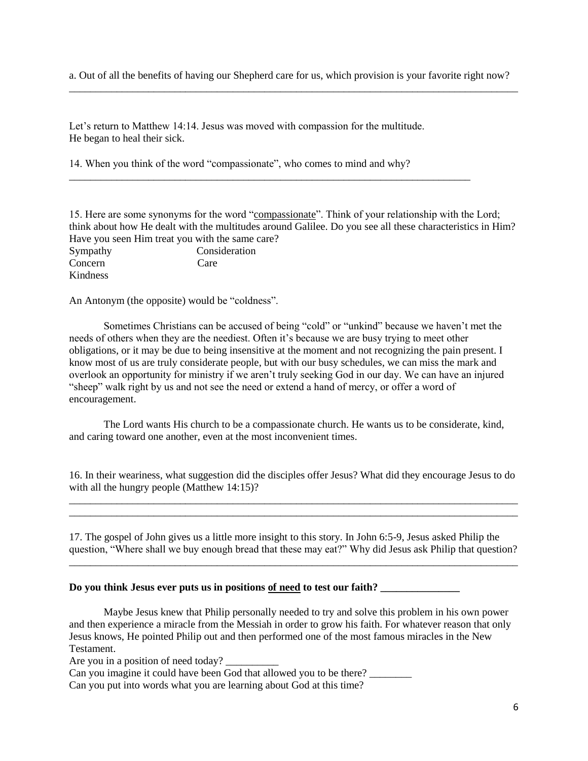a. Out of all the benefits of having our Shepherd care for us, which provision is your favorite right now? \_\_\_\_\_\_\_\_\_\_\_\_\_\_\_\_\_\_\_\_\_\_\_\_\_\_\_\_\_\_\_\_\_\_\_\_\_\_\_\_\_\_\_\_\_\_\_\_\_\_\_\_\_\_\_\_\_\_\_\_\_\_\_\_\_\_\_\_\_\_\_\_\_\_\_\_\_\_\_\_\_\_\_\_\_

Let's return to Matthew 14:14. Jesus was moved with compassion for the multitude. He began to heal their sick.

\_\_\_\_\_\_\_\_\_\_\_\_\_\_\_\_\_\_\_\_\_\_\_\_\_\_\_\_\_\_\_\_\_\_\_\_\_\_\_\_\_\_\_\_\_\_\_\_\_\_\_\_\_\_\_\_\_\_\_\_\_\_\_\_\_\_\_\_\_\_\_\_\_\_\_\_

14. When you think of the word "compassionate", who comes to mind and why?

15. Here are some synonyms for the word "compassionate". Think of your relationship with the Lord; think about how He dealt with the multitudes around Galilee. Do you see all these characteristics in Him? Have you seen Him treat you with the same care? Sympathy Consideration Concern Care Kindness

An Antonym (the opposite) would be "coldness".

Sometimes Christians can be accused of being "cold" or "unkind" because we haven't met the needs of others when they are the neediest. Often it's because we are busy trying to meet other obligations, or it may be due to being insensitive at the moment and not recognizing the pain present. I know most of us are truly considerate people, but with our busy schedules, we can miss the mark and overlook an opportunity for ministry if we aren't truly seeking God in our day. We can have an injured "sheep" walk right by us and not see the need or extend a hand of mercy, or offer a word of encouragement.

The Lord wants His church to be a compassionate church. He wants us to be considerate, kind, and caring toward one another, even at the most inconvenient times.

16. In their weariness, what suggestion did the disciples offer Jesus? What did they encourage Jesus to do with all the hungry people (Matthew 14:15)? \_\_\_\_\_\_\_\_\_\_\_\_\_\_\_\_\_\_\_\_\_\_\_\_\_\_\_\_\_\_\_\_\_\_\_\_\_\_\_\_\_\_\_\_\_\_\_\_\_\_\_\_\_\_\_\_\_\_\_\_\_\_\_\_\_\_\_\_\_\_\_\_\_\_\_\_\_\_\_\_\_\_\_\_\_

17. The gospel of John gives us a little more insight to this story. In John 6:5-9, Jesus asked Philip the question, "Where shall we buy enough bread that these may eat?" Why did Jesus ask Philip that question? \_\_\_\_\_\_\_\_\_\_\_\_\_\_\_\_\_\_\_\_\_\_\_\_\_\_\_\_\_\_\_\_\_\_\_\_\_\_\_\_\_\_\_\_\_\_\_\_\_\_\_\_\_\_\_\_\_\_\_\_\_\_\_\_\_\_\_\_\_\_\_\_\_\_\_\_\_\_\_\_\_\_\_\_\_

\_\_\_\_\_\_\_\_\_\_\_\_\_\_\_\_\_\_\_\_\_\_\_\_\_\_\_\_\_\_\_\_\_\_\_\_\_\_\_\_\_\_\_\_\_\_\_\_\_\_\_\_\_\_\_\_\_\_\_\_\_\_\_\_\_\_\_\_\_\_\_\_\_\_\_\_\_\_\_\_\_\_\_\_\_

#### **Do you think Jesus ever puts us in positions of need to test our faith? \_\_\_\_\_\_\_\_\_\_\_\_\_\_\_**

Maybe Jesus knew that Philip personally needed to try and solve this problem in his own power and then experience a miracle from the Messiah in order to grow his faith. For whatever reason that only Jesus knows, He pointed Philip out and then performed one of the most famous miracles in the New Testament.

Are you in a position of need today?

Can you imagine it could have been God that allowed you to be there? Can you put into words what you are learning about God at this time?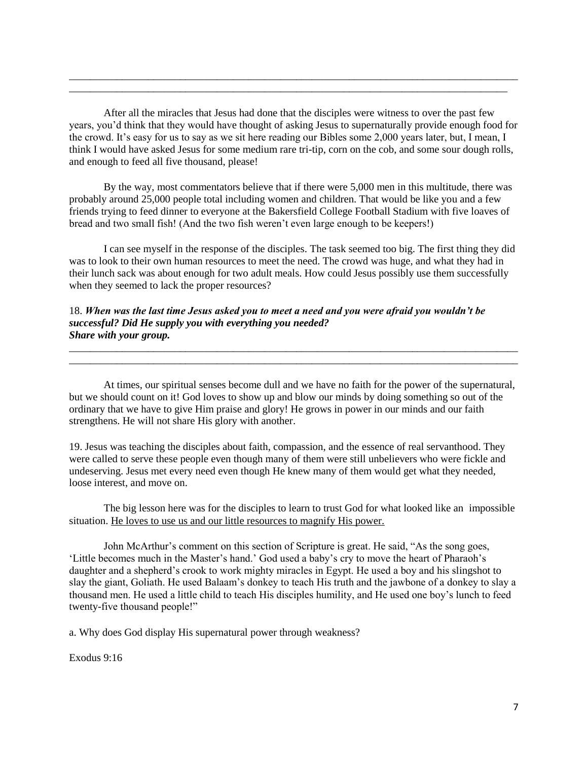After all the miracles that Jesus had done that the disciples were witness to over the past few years, you'd think that they would have thought of asking Jesus to supernaturally provide enough food for the crowd. It's easy for us to say as we sit here reading our Bibles some 2,000 years later, but, I mean, I think I would have asked Jesus for some medium rare tri-tip, corn on the cob, and some sour dough rolls, and enough to feed all five thousand, please!

\_\_\_\_\_\_\_\_\_\_\_\_\_\_\_\_\_\_\_\_\_\_\_\_\_\_\_\_\_\_\_\_\_\_\_\_\_\_\_\_\_\_\_\_\_\_\_\_\_\_\_\_\_\_\_\_\_\_\_\_\_\_\_\_\_\_\_\_\_\_\_\_\_\_\_\_\_\_\_\_\_\_\_\_\_ \_\_\_\_\_\_\_\_\_\_\_\_\_\_\_\_\_\_\_\_\_\_\_\_\_\_\_\_\_\_\_\_\_\_\_\_\_\_\_\_\_\_\_\_\_\_\_\_\_\_\_\_\_\_\_\_\_\_\_\_\_\_\_\_\_\_\_\_\_\_\_\_\_\_\_\_\_\_\_\_\_\_\_

By the way, most commentators believe that if there were 5,000 men in this multitude, there was probably around 25,000 people total including women and children. That would be like you and a few friends trying to feed dinner to everyone at the Bakersfield College Football Stadium with five loaves of bread and two small fish! (And the two fish weren't even large enough to be keepers!)

I can see myself in the response of the disciples. The task seemed too big. The first thing they did was to look to their own human resources to meet the need. The crowd was huge, and what they had in their lunch sack was about enough for two adult meals. How could Jesus possibly use them successfully when they seemed to lack the proper resources?

18. *When was the last time Jesus asked you to meet a need and you were afraid you wouldn't be successful? Did He supply you with everything you needed? Share with your group.*

At times, our spiritual senses become dull and we have no faith for the power of the supernatural, but we should count on it! God loves to show up and blow our minds by doing something so out of the ordinary that we have to give Him praise and glory! He grows in power in our minds and our faith strengthens. He will not share His glory with another.

\_\_\_\_\_\_\_\_\_\_\_\_\_\_\_\_\_\_\_\_\_\_\_\_\_\_\_\_\_\_\_\_\_\_\_\_\_\_\_\_\_\_\_\_\_\_\_\_\_\_\_\_\_\_\_\_\_\_\_\_\_\_\_\_\_\_\_\_\_\_\_\_\_\_\_\_\_\_\_\_\_\_\_\_\_ \_\_\_\_\_\_\_\_\_\_\_\_\_\_\_\_\_\_\_\_\_\_\_\_\_\_\_\_\_\_\_\_\_\_\_\_\_\_\_\_\_\_\_\_\_\_\_\_\_\_\_\_\_\_\_\_\_\_\_\_\_\_\_\_\_\_\_\_\_\_\_\_\_\_\_\_\_\_\_\_\_\_\_\_\_

19. Jesus was teaching the disciples about faith, compassion, and the essence of real servanthood. They were called to serve these people even though many of them were still unbelievers who were fickle and undeserving. Jesus met every need even though He knew many of them would get what they needed, loose interest, and move on.

The big lesson here was for the disciples to learn to trust God for what looked like an impossible situation. He loves to use us and our little resources to magnify His power.

John McArthur's comment on this section of Scripture is great. He said, "As the song goes, 'Little becomes much in the Master's hand.' God used a baby's cry to move the heart of Pharaoh's daughter and a shepherd's crook to work mighty miracles in Egypt. He used a boy and his slingshot to slay the giant, Goliath. He used Balaam's donkey to teach His truth and the jawbone of a donkey to slay a thousand men. He used a little child to teach His disciples humility, and He used one boy's lunch to feed twenty-five thousand people!"

a. Why does God display His supernatural power through weakness?

Exodus 9:16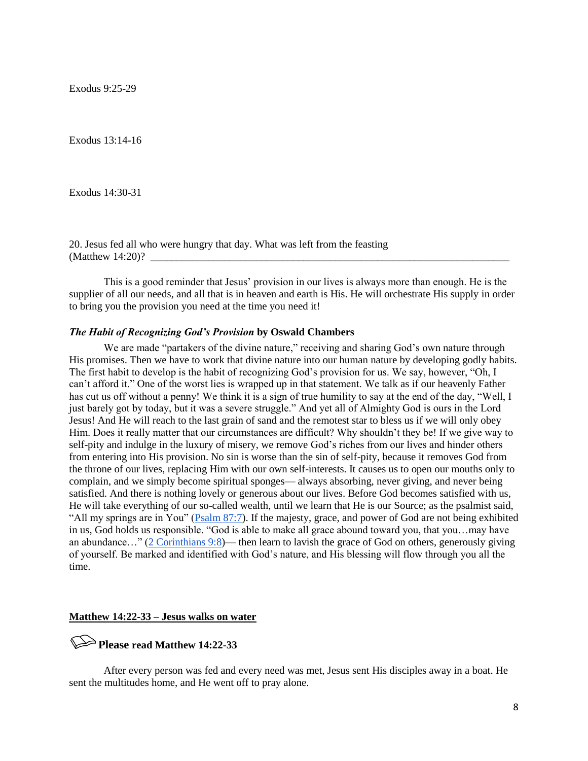Exodus 9:25-29

Exodus 13:14-16

Exodus 14:30-31

20. Jesus fed all who were hungry that day. What was left from the feasting  $(Mat$ thew  $14:20$ )?

This is a good reminder that Jesus' provision in our lives is always more than enough. He is the supplier of all our needs, and all that is in heaven and earth is His. He will orchestrate His supply in order to bring you the provision you need at the time you need it!

### *The Habit of Recognizing God's Provision* **by Oswald Chambers**

We are made "partakers of the divine nature," receiving and sharing God's own nature through His promises. Then we have to work that divine nature into our human nature by developing godly habits. The first habit to develop is the habit of recognizing God's provision for us. We say, however, "Oh, I can't afford it." One of the worst lies is wrapped up in that statement. We talk as if our heavenly Father has cut us off without a penny! We think it is a sign of true humility to say at the end of the day, "Well, I just barely got by today, but it was a severe struggle." And yet all of Almighty God is ours in the Lord Jesus! And He will reach to the last grain of sand and the remotest star to bless us if we will only obey Him. Does it really matter that our circumstances are difficult? Why shouldn't they be! If we give way to self-pity and indulge in the luxury of misery, we remove God's riches from our lives and hinder others from entering into His provision. No sin is worse than the sin of self-pity, because it removes God from the throne of our lives, replacing Him with our own self-interests. It causes us to open our mouths only to complain, and we simply become spiritual sponges— always absorbing, never giving, and never being satisfied. And there is nothing lovely or generous about our lives. Before God becomes satisfied with us, He will take everything of our so-called wealth, until we learn that He is our Source; as the psalmist said, "All my springs are in You" [\(Psalm 87:7\)](http://www.biblegateway.com/passage/?search=Psalm+87:7). If the majesty, grace, and power of God are not being exhibited in us, God holds us responsible. "God is able to make all grace abound toward you, that you…may have an abundance…" [\(2 Corinthians 9:8\)](http://www.biblegateway.com/passage/?search=2+Corinthians+9:8)— then learn to lavish the grace of God on others, generously giving of yourself. Be marked and identified with God's nature, and His blessing will flow through you all the time.

#### **Matthew 14:22-33 – Jesus walks on water**

**Please read Matthew 14:22-33**

After every person was fed and every need was met, Jesus sent His disciples away in a boat. He sent the multitudes home, and He went off to pray alone.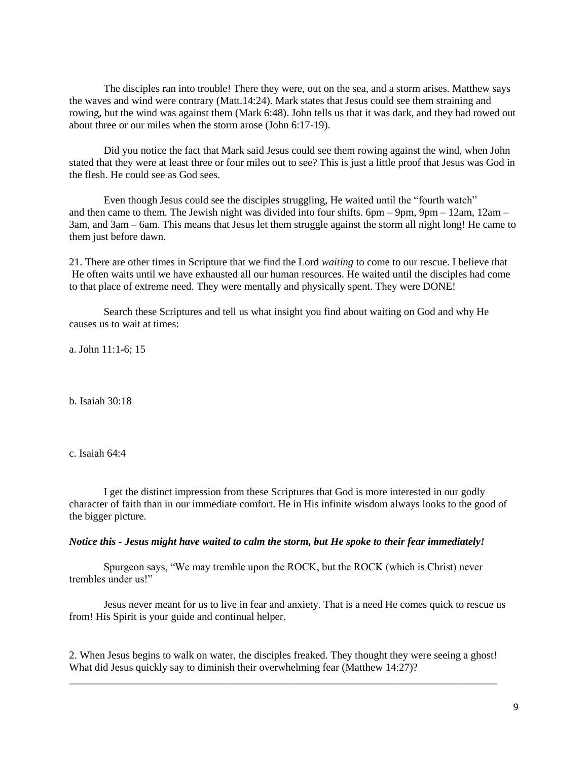The disciples ran into trouble! There they were, out on the sea, and a storm arises. Matthew says the waves and wind were contrary (Matt.14:24). Mark states that Jesus could see them straining and rowing, but the wind was against them (Mark 6:48). John tells us that it was dark, and they had rowed out about three or our miles when the storm arose (John 6:17-19).

Did you notice the fact that Mark said Jesus could see them rowing against the wind, when John stated that they were at least three or four miles out to see? This is just a little proof that Jesus was God in the flesh. He could see as God sees.

Even though Jesus could see the disciples struggling, He waited until the "fourth watch" and then came to them. The Jewish night was divided into four shifts.  $6pm - 9pm$ ,  $9pm - 12am$ ,  $12am -$ 3am, and 3am – 6am. This means that Jesus let them struggle against the storm all night long! He came to them just before dawn.

21. There are other times in Scripture that we find the Lord *waiting* to come to our rescue. I believe that He often waits until we have exhausted all our human resources. He waited until the disciples had come to that place of extreme need. They were mentally and physically spent. They were DONE!

Search these Scriptures and tell us what insight you find about waiting on God and why He causes us to wait at times:

a. John 11:1-6; 15

b. Isaiah 30:18

c. Isaiah 64:4

I get the distinct impression from these Scriptures that God is more interested in our godly character of faith than in our immediate comfort. He in His infinite wisdom always looks to the good of the bigger picture.

#### *Notice this - Jesus might have waited to calm the storm, but He spoke to their fear immediately!*

Spurgeon says, "We may tremble upon the ROCK, but the ROCK (which is Christ) never trembles under us!"

Jesus never meant for us to live in fear and anxiety. That is a need He comes quick to rescue us from! His Spirit is your guide and continual helper.

2. When Jesus begins to walk on water, the disciples freaked. They thought they were seeing a ghost! What did Jesus quickly say to diminish their overwhelming fear (Matthew 14:27)? \_\_\_\_\_\_\_\_\_\_\_\_\_\_\_\_\_\_\_\_\_\_\_\_\_\_\_\_\_\_\_\_\_\_\_\_\_\_\_\_\_\_\_\_\_\_\_\_\_\_\_\_\_\_\_\_\_\_\_\_\_\_\_\_\_\_\_\_\_\_\_\_\_\_\_\_\_\_\_\_\_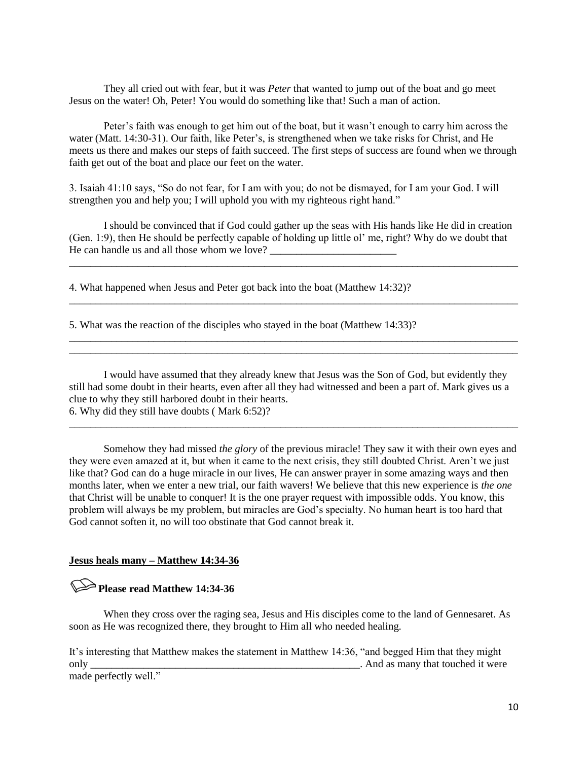They all cried out with fear, but it was *Peter* that wanted to jump out of the boat and go meet Jesus on the water! Oh, Peter! You would do something like that! Such a man of action.

Peter's faith was enough to get him out of the boat, but it wasn't enough to carry him across the water (Matt. 14:30-31). Our faith, like Peter's, is strengthened when we take risks for Christ, and He meets us there and makes our steps of faith succeed. The first steps of success are found when we through faith get out of the boat and place our feet on the water.

3. Isaiah 41:10 says, "So do not fear, for I am with you; do not be dismayed, for I am your God. I will strengthen you and help you; I will uphold you with my righteous right hand."

I should be convinced that if God could gather up the seas with His hands like He did in creation (Gen. 1:9), then He should be perfectly capable of holding up little ol' me, right? Why do we doubt that He can handle us and all those whom we love? \_\_\_\_\_\_\_\_\_\_\_\_\_\_\_\_\_\_\_\_\_\_\_\_\_\_\_\_\_\_\_\_\_\_\_

\_\_\_\_\_\_\_\_\_\_\_\_\_\_\_\_\_\_\_\_\_\_\_\_\_\_\_\_\_\_\_\_\_\_\_\_\_\_\_\_\_\_\_\_\_\_\_\_\_\_\_\_\_\_\_\_\_\_\_\_\_\_\_\_\_\_\_\_\_\_\_\_\_\_\_\_\_\_\_\_\_\_\_\_\_

\_\_\_\_\_\_\_\_\_\_\_\_\_\_\_\_\_\_\_\_\_\_\_\_\_\_\_\_\_\_\_\_\_\_\_\_\_\_\_\_\_\_\_\_\_\_\_\_\_\_\_\_\_\_\_\_\_\_\_\_\_\_\_\_\_\_\_\_\_\_\_\_\_\_\_\_\_\_\_\_\_\_\_\_\_

\_\_\_\_\_\_\_\_\_\_\_\_\_\_\_\_\_\_\_\_\_\_\_\_\_\_\_\_\_\_\_\_\_\_\_\_\_\_\_\_\_\_\_\_\_\_\_\_\_\_\_\_\_\_\_\_\_\_\_\_\_\_\_\_\_\_\_\_\_\_\_\_\_\_\_\_\_\_\_\_\_\_\_\_\_ \_\_\_\_\_\_\_\_\_\_\_\_\_\_\_\_\_\_\_\_\_\_\_\_\_\_\_\_\_\_\_\_\_\_\_\_\_\_\_\_\_\_\_\_\_\_\_\_\_\_\_\_\_\_\_\_\_\_\_\_\_\_\_\_\_\_\_\_\_\_\_\_\_\_\_\_\_\_\_\_\_\_\_\_\_

4. What happened when Jesus and Peter got back into the boat (Matthew 14:32)?

5. What was the reaction of the disciples who stayed in the boat (Matthew 14:33)?

I would have assumed that they already knew that Jesus was the Son of God, but evidently they still had some doubt in their hearts, even after all they had witnessed and been a part of. Mark gives us a clue to why they still harbored doubt in their hearts. 6. Why did they still have doubts ( Mark 6:52)?

\_\_\_\_\_\_\_\_\_\_\_\_\_\_\_\_\_\_\_\_\_\_\_\_\_\_\_\_\_\_\_\_\_\_\_\_\_\_\_\_\_\_\_\_\_\_\_\_\_\_\_\_\_\_\_\_\_\_\_\_\_\_\_\_\_\_\_\_\_\_\_\_\_\_\_\_\_\_\_\_\_\_\_\_\_

Somehow they had missed *the glory* of the previous miracle! They saw it with their own eyes and they were even amazed at it, but when it came to the next crisis, they still doubted Christ. Aren't we just like that? God can do a huge miracle in our lives, He can answer prayer in some amazing ways and then months later, when we enter a new trial, our faith wavers! We believe that this new experience is *the one* that Christ will be unable to conquer! It is the one prayer request with impossible odds. You know, this problem will always be my problem, but miracles are God's specialty. No human heart is too hard that God cannot soften it, no will too obstinate that God cannot break it.

### **Jesus heals many – Matthew 14:34-36**

## **Please read Matthew 14:34-36**

When they cross over the raging sea, Jesus and His disciples come to the land of Gennesaret. As soon as He was recognized there, they brought to Him all who needed healing.

It's interesting that Matthew makes the statement in Matthew 14:36, "and begged Him that they might only a contract the contract of the contract of the contract of the contract of the contract of the contract of the contract of the contract of the contract of the contract of the contract of the contract of the contract o

made perfectly well."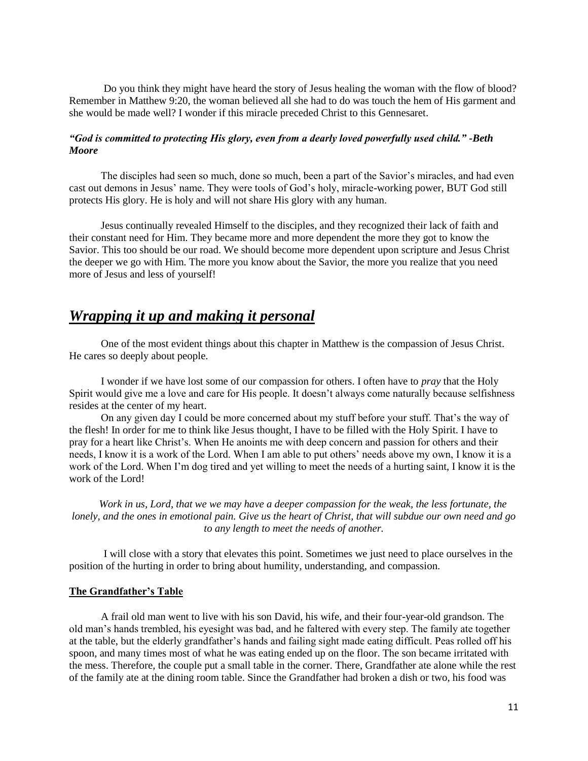Do you think they might have heard the story of Jesus healing the woman with the flow of blood? Remember in Matthew 9:20, the woman believed all she had to do was touch the hem of His garment and she would be made well? I wonder if this miracle preceded Christ to this Gennesaret.

## *"God is committed to protecting His glory, even from a dearly loved powerfully used child." -Beth Moore*

 The disciples had seen so much, done so much, been a part of the Savior's miracles, and had even cast out demons in Jesus' name. They were tools of God's holy, miracle-working power, BUT God still protects His glory. He is holy and will not share His glory with any human.

 Jesus continually revealed Himself to the disciples, and they recognized their lack of faith and their constant need for Him. They became more and more dependent the more they got to know the Savior. This too should be our road. We should become more dependent upon scripture and Jesus Christ the deeper we go with Him. The more you know about the Savior, the more you realize that you need more of Jesus and less of yourself!

## *Wrapping it up and making it personal*

 One of the most evident things about this chapter in Matthew is the compassion of Jesus Christ. He cares so deeply about people.

 I wonder if we have lost some of our compassion for others. I often have to *pray* that the Holy Spirit would give me a love and care for His people. It doesn't always come naturally because selfishness resides at the center of my heart.

 On any given day I could be more concerned about my stuff before your stuff. That's the way of the flesh! In order for me to think like Jesus thought, I have to be filled with the Holy Spirit. I have to pray for a heart like Christ's. When He anoints me with deep concern and passion for others and their needs, I know it is a work of the Lord. When I am able to put others' needs above my own, I know it is a work of the Lord. When I'm dog tired and yet willing to meet the needs of a hurting saint, I know it is the work of the Lord!

 *Work in us, Lord, that we we may have a deeper compassion for the weak, the less fortunate, the lonely, and the ones in emotional pain. Give us the heart of Christ, that will subdue our own need and go to any length to meet the needs of another.*

I will close with a story that elevates this point. Sometimes we just need to place ourselves in the position of the hurting in order to bring about humility, understanding, and compassion.

### **The Grandfather's Table**

 A frail old man went to live with his son David, his wife, and their four-year-old grandson. The old man's hands trembled, his eyesight was bad, and he faltered with every step. The family ate together at the table, but the elderly grandfather's hands and failing sight made eating difficult. Peas rolled off his spoon, and many times most of what he was eating ended up on the floor. The son became irritated with the mess. Therefore, the couple put a small table in the corner. There, Grandfather ate alone while the rest of the family ate at the dining room table. Since the Grandfather had broken a dish or two, his food was